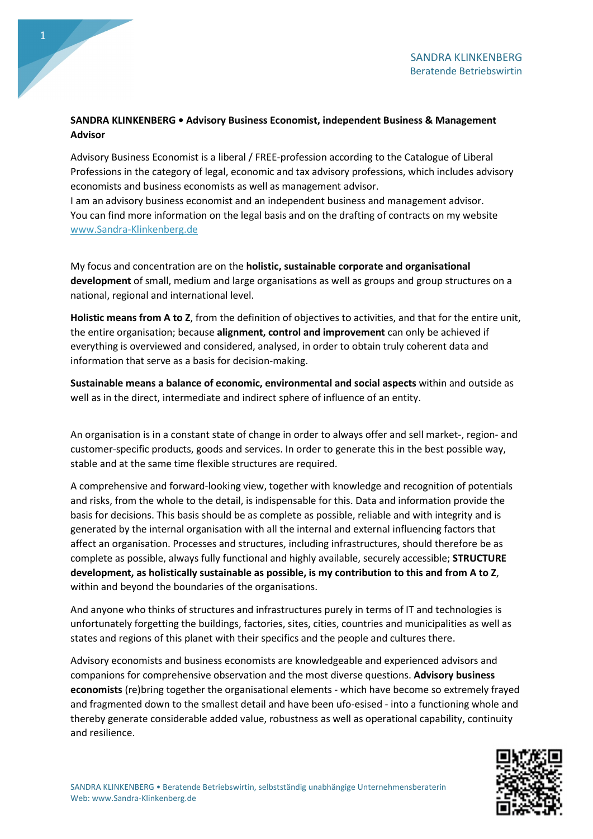## SANDRA KLINKENBERG • Advisory Business Economist, independent Business & Management Advisor

Advisory Business Economist is a liberal / FREE-profession according to the Catalogue of Liberal Professions in the category of legal, economic and tax advisory professions, which includes advisory economists and business economists as well as management advisor.

I am an advisory business economist and an independent business and management advisor. You can find more information on the legal basis and on the drafting of contracts on my website www.Sandra-Klinkenberg.de

My focus and concentration are on the holistic, sustainable corporate and organisational development of small, medium and large organisations as well as groups and group structures on a national, regional and international level.

Holistic means from A to Z, from the definition of objectives to activities, and that for the entire unit, the entire organisation; because alignment, control and improvement can only be achieved if everything is overviewed and considered, analysed, in order to obtain truly coherent data and information that serve as a basis for decision-making.

Sustainable means a balance of economic, environmental and social aspects within and outside as well as in the direct, intermediate and indirect sphere of influence of an entity.

An organisation is in a constant state of change in order to always offer and sell market-, region- and customer-specific products, goods and services. In order to generate this in the best possible way, stable and at the same time flexible structures are required.

A comprehensive and forward-looking view, together with knowledge and recognition of potentials and risks, from the whole to the detail, is indispensable for this. Data and information provide the basis for decisions. This basis should be as complete as possible, reliable and with integrity and is generated by the internal organisation with all the internal and external influencing factors that affect an organisation. Processes and structures, including infrastructures, should therefore be as complete as possible, always fully functional and highly available, securely accessible; STRUCTURE development, as holistically sustainable as possible, is my contribution to this and from A to Z, within and beyond the boundaries of the organisations.

And anyone who thinks of structures and infrastructures purely in terms of IT and technologies is unfortunately forgetting the buildings, factories, sites, cities, countries and municipalities as well as states and regions of this planet with their specifics and the people and cultures there.

Advisory economists and business economists are knowledgeable and experienced advisors and companions for comprehensive observation and the most diverse questions. Advisory business economists (re)bring together the organisational elements - which have become so extremely frayed and fragmented down to the smallest detail and have been ufo-esised - into a functioning whole and thereby generate considerable added value, robustness as well as operational capability, continuity and resilience.